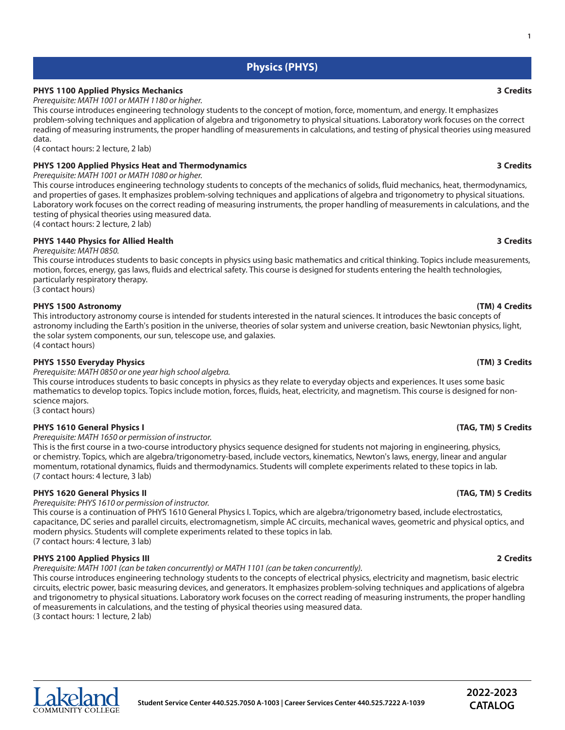# **Physics (PHYS)**

# **PHYS 1100 Applied Physics Mechanics 3 Credits**

*Prerequisite: MATH 1001 or MATH 1180 or higher.*

This course introduces engineering technology students to the concept of motion, force, momentum, and energy. It emphasizes problem-solving techniques and application of algebra and trigonometry to physical situations. Laboratory work focuses on the correct reading of measuring instruments, the proper handling of measurements in calculations, and testing of physical theories using measured data.

(4 contact hours: 2 lecture, 2 lab)

# **PHYS 1200 Applied Physics Heat and Thermodynamics 3 Credits**

*Prerequisite: MATH 1001 or MATH 1080 or higher.*

This course introduces engineering technology students to concepts of the mechanics of solids, fluid mechanics, heat, thermodynamics, and properties of gases. It emphasizes problem-solving techniques and applications of algebra and trigonometry to physical situations. Laboratory work focuses on the correct reading of measuring instruments, the proper handling of measurements in calculations, and the testing of physical theories using measured data. (4 contact hours: 2 lecture, 2 lab)

### **PHYS 1440 Physics for Allied Health 3 Credits** *Prerequisite: MATH 0850.*

This course introduces students to basic concepts in physics using basic mathematics and critical thinking. Topics include measurements, motion, forces, energy, gas laws, fluids and electrical safety. This course is designed for students entering the health technologies, particularly respiratory therapy.

(3 contact hours)

## **PHYS 1500 Astronomy (TM) 4 Credits**

This introductory astronomy course is intended for students interested in the natural sciences. It introduces the basic concepts of astronomy including the Earth's position in the universe, theories of solar system and universe creation, basic Newtonian physics, light, the solar system components, our sun, telescope use, and galaxies. (4 contact hours)

# **PHYS 1550 Everyday Physics (TM) 3 Credits**

*Prerequisite: MATH 0850 or one year high school algebra.*

This course introduces students to basic concepts in physics as they relate to everyday objects and experiences. It uses some basic mathematics to develop topics. Topics include motion, forces, fluids, heat, electricity, and magnetism. This course is designed for nonscience majors.

(3 contact hours)

### **PHYS 1610 General Physics I (TAG, TM) 5 Credits**

*Prerequisite: MATH 1650 or permission of instructor.*

This is the first course in a two-course introductory physics sequence designed for students not majoring in engineering, physics, or chemistry. Topics, which are algebra/trigonometry-based, include vectors, kinematics, Newton's laws, energy, linear and angular momentum, rotational dynamics, fluids and thermodynamics. Students will complete experiments related to these topics in lab. (7 contact hours: 4 lecture, 3 lab)

# **PHYS 1620 General Physics II (TAG, TM) 5 Credits**

*Prerequisite: PHYS 1610 or permission of instructor.*

This course is a continuation of PHYS 1610 General Physics I. Topics, which are algebra/trigonometry based, include electrostatics, capacitance, DC series and parallel circuits, electromagnetism, simple AC circuits, mechanical waves, geometric and physical optics, and modern physics. Students will complete experiments related to these topics in lab. (7 contact hours: 4 lecture, 3 lab)

### **PHYS 2100 Applied Physics III 2 Credits**

*Prerequisite: MATH 1001 (can be taken concurrently) or MATH 1101 (can be taken concurrently).*

This course introduces engineering technology students to the concepts of electrical physics, electricity and magnetism, basic electric circuits, electric power, basic measuring devices, and generators. It emphasizes problem-solving techniques and applications of algebra and trigonometry to physical situations. Laboratory work focuses on the correct reading of measuring instruments, the proper handling of measurements in calculations, and the testing of physical theories using measured data. (3 contact hours: 1 lecture, 2 lab)